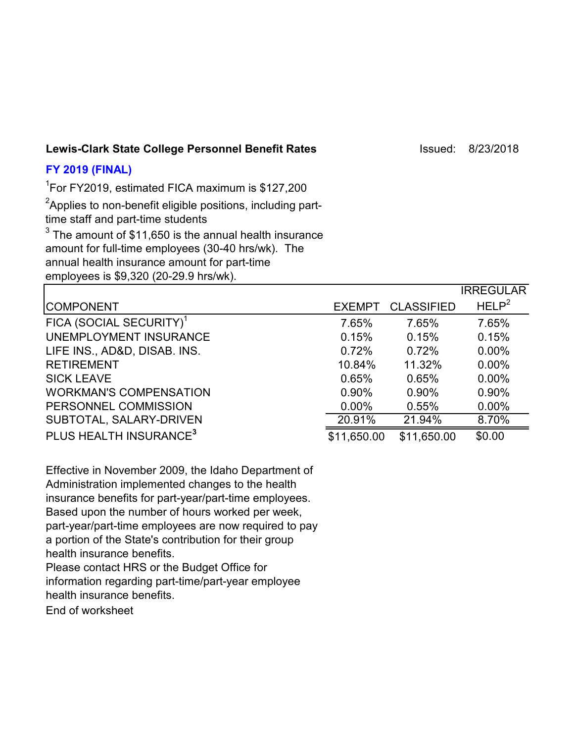### Lewis-Clark State College Personnel Benefit Rates **Internative College 18/23/2018**

# **FY 2019 (FINAL)**

1 For FY2019, estimated FICA maximum is \$127,200

 ${\rm ^2}$ Applies to non-benefit eligible positions, including part-

time staff and part-time students

 $^3$  The amount of \$11,650 is the annual health insurance amount for full-time employees (30-40 hrs/wk). The annual health insurance amount for part-time

employees is \$9,320 (20-29.9 hrs/wk).

|                                     |               |                   | <b>IRREGULAR</b>  |
|-------------------------------------|---------------|-------------------|-------------------|
| <b>COMPONENT</b>                    | <b>EXEMPT</b> | <b>CLASSIFIED</b> | HELP <sup>2</sup> |
| FICA (SOCIAL SECURITY) <sup>1</sup> | 7.65%         | 7.65%             | 7.65%             |
| UNEMPLOYMENT INSURANCE              | 0.15%         | 0.15%             | 0.15%             |
| LIFE INS., AD&D, DISAB. INS.        | 0.72%         | 0.72%             | $0.00\%$          |
| <b>RETIREMENT</b>                   | 10.84%        | 11.32%            | $0.00\%$          |
| <b>SICK LEAVE</b>                   | 0.65%         | 0.65%             | $0.00\%$          |
| <b>WORKMAN'S COMPENSATION</b>       | 0.90%         | 0.90%             | 0.90%             |
| PERSONNEL COMMISSION                | $0.00\%$      | 0.55%             | $0.00\%$          |
| SUBTOTAL, SALARY-DRIVEN             | 20.91%        | 21.94%            | 8.70%             |
| PLUS HEALTH INSURANCE <sup>3</sup>  | \$11,650.00   | \$11,650.00       | \$0.00            |

Effective in November 2009, the Idaho Department of Administration implemented changes to the health insurance benefits for part-year/part-time employees. Based upon the number of hours worked per week, part-year/part-time employees are now required to pay a portion of the State's contribution for their group health insurance benefits. Please contact HRS or the Budget Office for

information regarding part-time/part-year employee health insurance benefits.

End of worksheet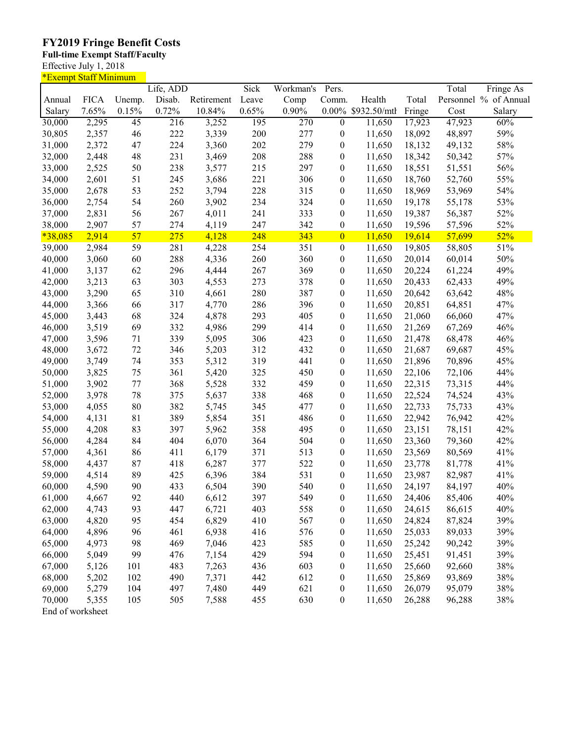## **FY2019 Fringe Benefit Costs**

#### **Full-time Exempt Staff/Faculty**

Effective July 1, 2018

| <u>*Exempt Staff Minimum</u> |             |                 |           |            |       |           |                  |                    |        |        |                       |
|------------------------------|-------------|-----------------|-----------|------------|-------|-----------|------------------|--------------------|--------|--------|-----------------------|
|                              |             |                 | Life, ADD |            | Sick  | Workman's | Pers.            |                    |        | Total  | Fringe As             |
| Annual                       | <b>FICA</b> | Unemp.          | Disab.    | Retirement | Leave | Comp      | Comm.            | Health             | Total  |        | Personnel % of Annual |
| Salary                       | 7.65%       | 0.15%           | 0.72%     | 10.84%     | 0.65% | $0.90\%$  |                  | 0.00% \$932.50/mtl | Fringe | Cost   | Salary                |
| 30,000                       | 2,295       | $\overline{45}$ | 216       | 3,252      | 195   | 270       | $\overline{0}$   | 11,650             | 17,923 | 47,923 | 60%                   |
| 30,805                       | 2,357       | 46              | 222       | 3,339      | 200   | 277       | $\boldsymbol{0}$ | 11,650             | 18,092 | 48,897 | 59%                   |
| 31,000                       | 2,372       | 47              | 224       | 3,360      | 202   | 279       | $\boldsymbol{0}$ | 11,650             | 18,132 | 49,132 | 58%                   |
| 32,000                       | 2,448       | 48              | 231       | 3,469      | 208   | 288       | $\boldsymbol{0}$ | 11,650             | 18,342 | 50,342 | 57%                   |
| 33,000                       | 2,525       | 50              | 238       | 3,577      | 215   | 297       | $\boldsymbol{0}$ | 11,650             | 18,551 | 51,551 | 56%                   |
| 34,000                       | 2,601       | 51              | 245       | 3,686      | 221   | 306       | $\boldsymbol{0}$ | 11,650             | 18,760 | 52,760 | 55%                   |
| 35,000                       | 2,678       | 53              | 252       | 3,794      | 228   | 315       | $\boldsymbol{0}$ | 11,650             | 18,969 | 53,969 | 54%                   |
| 36,000                       | 2,754       | 54              | 260       | 3,902      | 234   | 324       | $\boldsymbol{0}$ | 11,650             | 19,178 | 55,178 | 53%                   |
| 37,000                       | 2,831       | 56              | 267       | 4,011      | 241   | 333       | $\boldsymbol{0}$ | 11,650             | 19,387 | 56,387 | 52%                   |
|                              | 2,907       | 57              | 274       |            | 247   | 342       |                  |                    |        |        | 52%                   |
| 38,000                       |             |                 |           | 4,119      |       |           | $\boldsymbol{0}$ | 11,650             | 19,596 | 57,596 |                       |
| $*38,085$                    | 2,914       | 57              | 275       | 4,128      | 248   | 343       | $\boldsymbol{0}$ | 11,650             | 19,614 | 57,699 | 52%                   |
| 39,000                       | 2,984       | 59              | 281       | 4,228      | 254   | 351       | $\boldsymbol{0}$ | 11,650             | 19,805 | 58,805 | 51%                   |
| 40,000                       | 3,060       | 60              | 288       | 4,336      | 260   | 360       | $\boldsymbol{0}$ | 11,650             | 20,014 | 60,014 | 50%                   |
| 41,000                       | 3,137       | 62              | 296       | 4,444      | 267   | 369       | $\boldsymbol{0}$ | 11,650             | 20,224 | 61,224 | 49%                   |
| 42,000                       | 3,213       | 63              | 303       | 4,553      | 273   | 378       | $\boldsymbol{0}$ | 11,650             | 20,433 | 62,433 | 49%                   |
| 43,000                       | 3,290       | 65              | 310       | 4,661      | 280   | 387       | $\boldsymbol{0}$ | 11,650             | 20,642 | 63,642 | 48%                   |
| 44,000                       | 3,366       | 66              | 317       | 4,770      | 286   | 396       | $\boldsymbol{0}$ | 11,650             | 20,851 | 64,851 | 47%                   |
| 45,000                       | 3,443       | 68              | 324       | 4,878      | 293   | 405       | $\boldsymbol{0}$ | 11,650             | 21,060 | 66,060 | 47%                   |
| 46,000                       | 3,519       | 69              | 332       | 4,986      | 299   | 414       | $\boldsymbol{0}$ | 11,650             | 21,269 | 67,269 | 46%                   |
| 47,000                       | 3,596       | 71              | 339       | 5,095      | 306   | 423       | $\boldsymbol{0}$ | 11,650             | 21,478 | 68,478 | 46%                   |
| 48,000                       | 3,672       | 72              | 346       | 5,203      | 312   | 432       | $\boldsymbol{0}$ | 11,650             | 21,687 | 69,687 | 45%                   |
| 49,000                       | 3,749       | 74              | 353       | 5,312      | 319   | 441       | $\boldsymbol{0}$ | 11,650             | 21,896 | 70,896 | 45%                   |
| 50,000                       | 3,825       | 75              | 361       | 5,420      | 325   | 450       | $\boldsymbol{0}$ | 11,650             | 22,106 | 72,106 | 44%                   |
| 51,000                       | 3,902       | 77              | 368       | 5,528      | 332   | 459       | $\boldsymbol{0}$ | 11,650             | 22,315 | 73,315 | 44%                   |
| 52,000                       | 3,978       | 78              | 375       | 5,637      | 338   | 468       | $\boldsymbol{0}$ | 11,650             | 22,524 | 74,524 | 43%                   |
| 53,000                       | 4,055       | 80              | 382       | 5,745      | 345   | 477       | $\boldsymbol{0}$ | 11,650             | 22,733 | 75,733 | 43%                   |
| 54,000                       | 4,131       | 81              | 389       | 5,854      | 351   | 486       | $\boldsymbol{0}$ | 11,650             | 22,942 | 76,942 | 42%                   |
| 55,000                       | 4,208       | 83              | 397       | 5,962      | 358   | 495       | $\boldsymbol{0}$ | 11,650             | 23,151 | 78,151 | 42%                   |
| 56,000                       | 4,284       | 84              | 404       | 6,070      | 364   | 504       | $\boldsymbol{0}$ | 11,650             | 23,360 | 79,360 | 42%                   |
| 57,000                       | 4,361       | 86              | 411       | 6,179      | 371   | 513       | $\boldsymbol{0}$ | 11,650             | 23,569 | 80,569 | 41%                   |
| 58,000                       | 4,437       | 87              | 418       | 6,287      | 377   | 522       | $\boldsymbol{0}$ | 11,650             | 23,778 | 81,778 | 41%                   |
| 59,000                       | 4,514       | 89              | 425       | 6,396      | 384   | 531       | $\boldsymbol{0}$ | 11,650             | 23,987 | 82,987 | 41%                   |
| 60,000                       | 4,590       | 90              | 433       | 6,504      | 390   | 540       | $\boldsymbol{0}$ | 11,650             | 24,197 | 84,197 | 40%                   |
| 61,000                       | 4,667       | 92              | 440       | 6,612      | 397   | 549       | $\boldsymbol{0}$ | 11,650             | 24,406 | 85,406 | 40%                   |
| 62,000                       | 4,743       | 93              | 447       | 6,721      | 403   | 558       |                  |                    |        |        | 40%                   |
|                              |             |                 |           |            |       |           | $\boldsymbol{0}$ | 11,650             | 24,615 | 86,615 |                       |
| 63,000                       | 4,820       | 95              | 454       | 6,829      | 410   | 567       | $\boldsymbol{0}$ | 11,650             | 24,824 | 87,824 | 39%                   |
| 64,000                       | 4,896       | 96              | 461       | 6,938      | 416   | 576       | $\boldsymbol{0}$ | 11,650             | 25,033 | 89,033 | 39%                   |
| 65,000                       | 4,973       | 98              | 469       | 7,046      | 423   | 585       | $\boldsymbol{0}$ | 11,650             | 25,242 | 90,242 | 39%                   |
| 66,000                       | 5,049       | 99              | 476       | 7,154      | 429   | 594       | $\boldsymbol{0}$ | 11,650             | 25,451 | 91,451 | 39%                   |
| 67,000                       | 5,126       | 101             | 483       | 7,263      | 436   | 603       | $\boldsymbol{0}$ | 11,650             | 25,660 | 92,660 | 38%                   |
| 68,000                       | 5,202       | 102             | 490       | 7,371      | 442   | 612       | $\boldsymbol{0}$ | 11,650             | 25,869 | 93,869 | 38%                   |
| 69,000                       | 5,279       | 104             | 497       | 7,480      | 449   | 621       | $\boldsymbol{0}$ | 11,650             | 26,079 | 95,079 | $38\%$                |
| 70,000                       | 5,355       | 105             | 505       | 7,588      | 455   | 630       | $\boldsymbol{0}$ | 11,650             | 26,288 | 96,288 | $38\%$                |
| End of worksheet             |             |                 |           |            |       |           |                  |                    |        |        |                       |